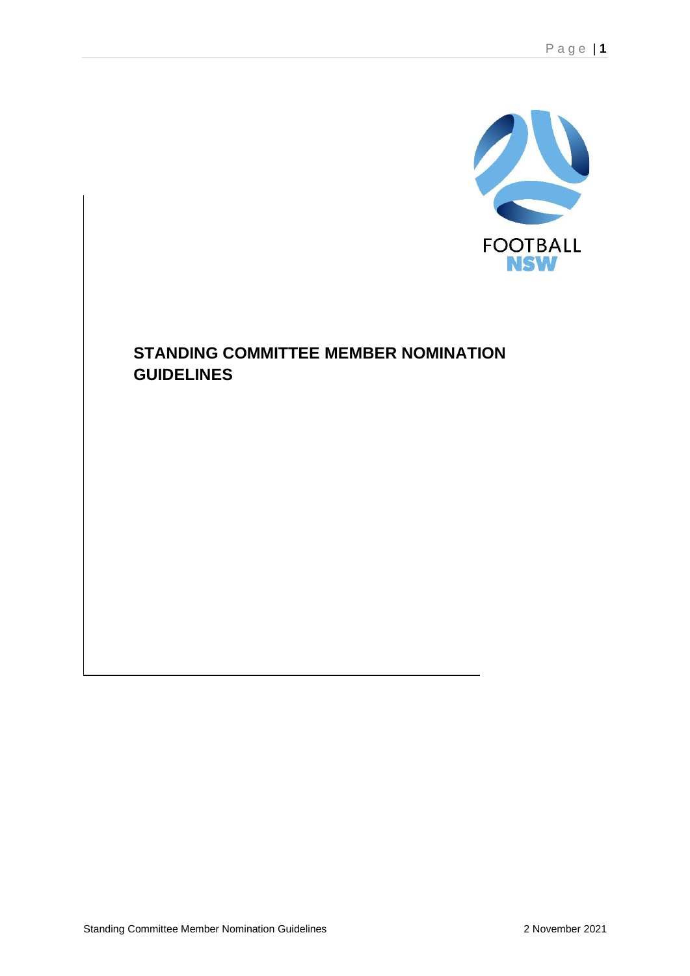

# **STANDING COMMITTEE MEMBER NOMINATION GUIDELINES**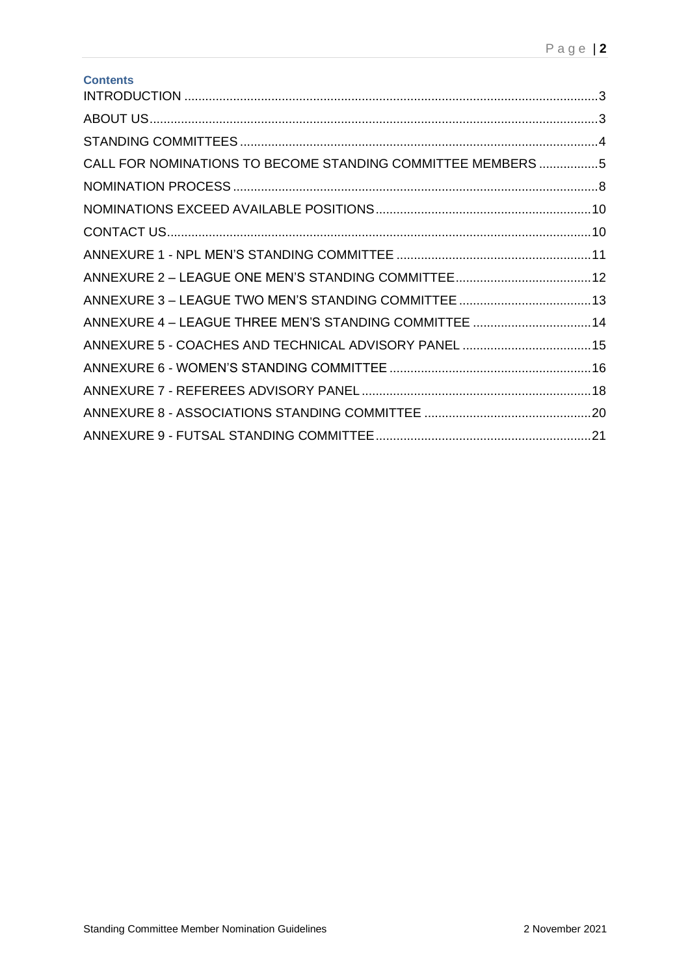| <b>Contents</b>                                             |  |
|-------------------------------------------------------------|--|
|                                                             |  |
|                                                             |  |
| CALL FOR NOMINATIONS TO BECOME STANDING COMMITTEE MEMBERS 5 |  |
|                                                             |  |
|                                                             |  |
|                                                             |  |
|                                                             |  |
|                                                             |  |
|                                                             |  |
| ANNEXURE 4 - LEAGUE THREE MEN'S STANDING COMMITTEE  14      |  |
| ANNEXURE 5 - COACHES AND TECHNICAL ADVISORY PANEL 15        |  |
|                                                             |  |
|                                                             |  |
|                                                             |  |
|                                                             |  |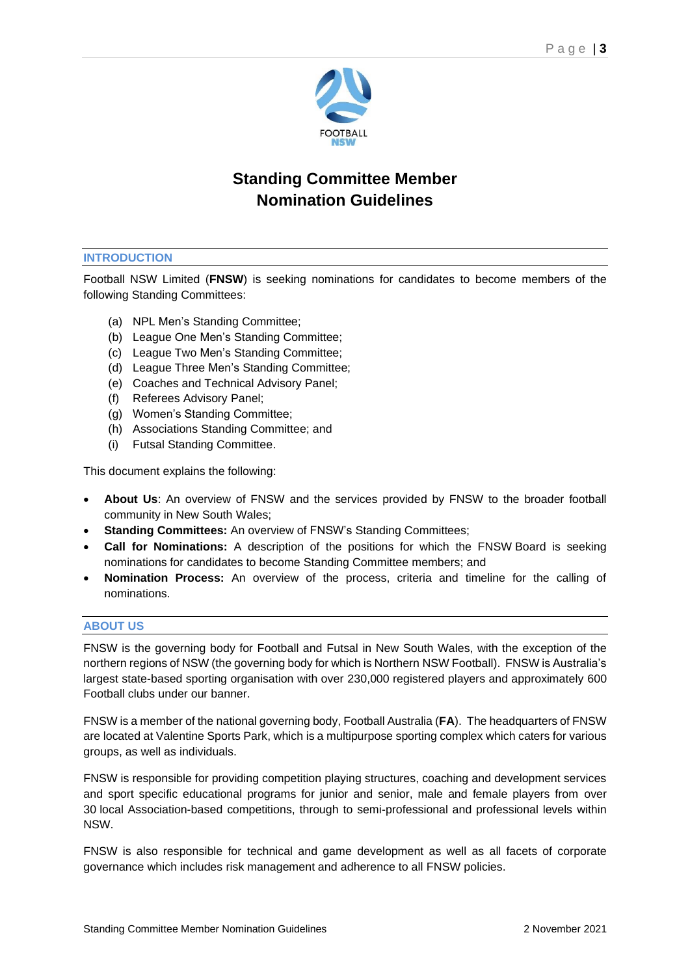

# **Standing Committee Member Nomination Guidelines**

# **INTRODUCTION**

Football NSW Limited (**FNSW**) is seeking nominations for candidates to become members of the following Standing Committees:

- (a) NPL Men's Standing Committee;
- (b) League One Men's Standing Committee;
- (c) League Two Men's Standing Committee;
- (d) League Three Men's Standing Committee;
- (e) Coaches and Technical Advisory Panel;
- (f) Referees Advisory Panel;
- (g) Women's Standing Committee;
- (h) Associations Standing Committee; and
- (i) Futsal Standing Committee.

This document explains the following:

- **About Us**: An overview of FNSW and the services provided by FNSW to the broader football community in New South Wales;
- **Standing Committees:** An overview of FNSW's Standing Committees;
- **Call for Nominations:** A description of the positions for which the FNSW Board is seeking nominations for candidates to become Standing Committee members; and
- **Nomination Process:** An overview of the process, criteria and timeline for the calling of nominations.

#### **ABOUT US**

FNSW is the governing body for Football and Futsal in New South Wales, with the exception of the northern regions of NSW (the governing body for which is Northern NSW Football). FNSW is Australia's largest state-based sporting organisation with over 230,000 registered players and approximately 600 Football clubs under our banner.

FNSW is a member of the national governing body, Football Australia (**FA**). The headquarters of FNSW are located at Valentine Sports Park, which is a multipurpose sporting complex which caters for various groups, as well as individuals.

FNSW is responsible for providing competition playing structures, coaching and development services and sport specific educational programs for junior and senior, male and female players from over 30 local Association-based competitions, through to semi-professional and professional levels within NSW.

FNSW is also responsible for technical and game development as well as all facets of corporate governance which includes risk management and adherence to all FNSW policies.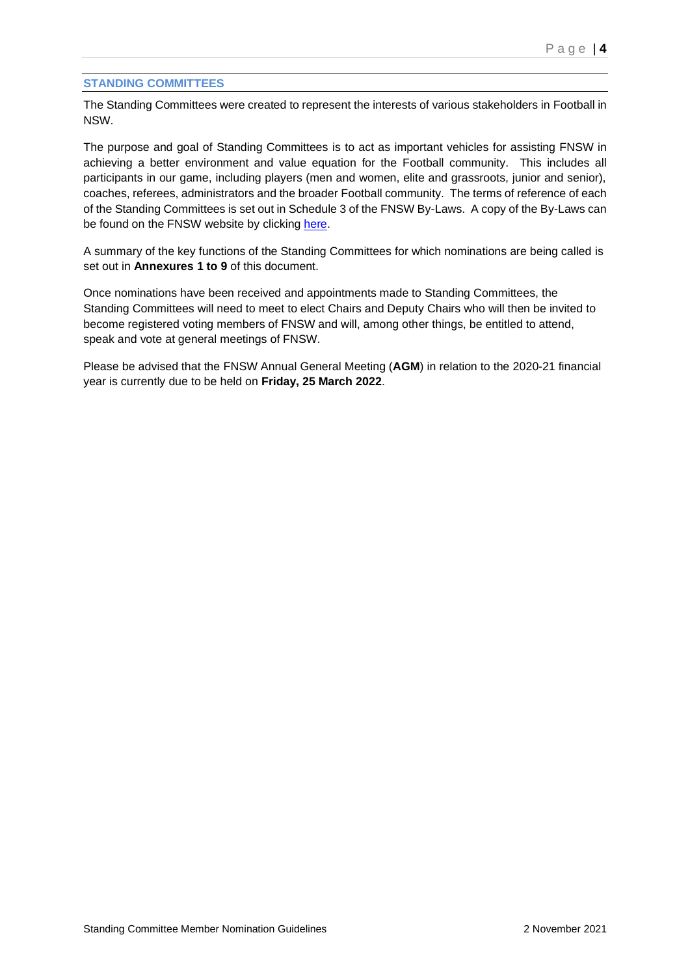# **STANDING COMMITTEES**

The Standing Committees were created to represent the interests of various stakeholders in Football in NSW.

The purpose and goal of Standing Committees is to act as important vehicles for assisting FNSW in achieving a better environment and value equation for the Football community. This includes all participants in our game, including players (men and women, elite and grassroots, junior and senior), coaches, referees, administrators and the broader Football community. The terms of reference of each of the Standing Committees is set out in Schedule 3 of the FNSW By-Laws. A copy of the By-Laws can be found on the FNSW website by clicking [here.](https://footballnsw.com.au/wp-content/uploads/2021/11/Football-NSW-By-Laws-as-2-November-2021.pdf)

A summary of the key functions of the Standing Committees for which nominations are being called is set out in **Annexures 1 to 9** of this document.

Once nominations have been received and appointments made to Standing Committees, the Standing Committees will need to meet to elect Chairs and Deputy Chairs who will then be invited to become registered voting members of FNSW and will, among other things, be entitled to attend, speak and vote at general meetings of FNSW.

Please be advised that the FNSW Annual General Meeting (**AGM**) in relation to the 2020-21 financial year is currently due to be held on **Friday, 25 March 2022**.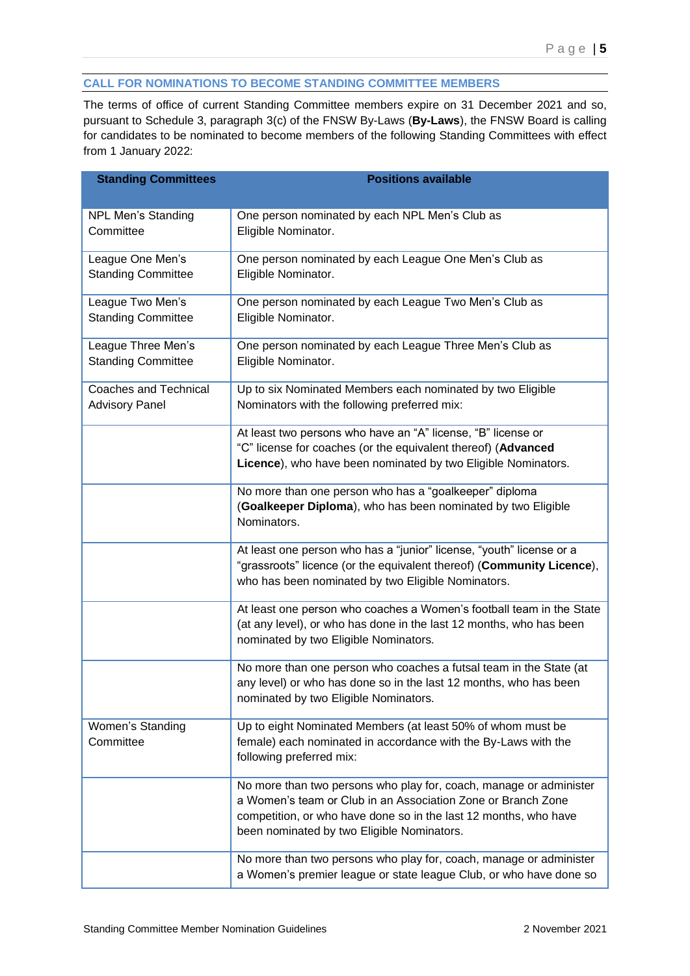# **CALL FOR NOMINATIONS TO BECOME STANDING COMMITTEE MEMBERS**

The terms of office of current Standing Committee members expire on 31 December 2021 and so, pursuant to Schedule 3, paragraph 3(c) of the FNSW By-Laws (**By-Laws**), the FNSW Board is calling for candidates to be nominated to become members of the following Standing Committees with effect from 1 January 2022:

| <b>Standing Committees</b>                            | <b>Positions available</b>                                                                                                                                                                                                                           |
|-------------------------------------------------------|------------------------------------------------------------------------------------------------------------------------------------------------------------------------------------------------------------------------------------------------------|
| <b>NPL Men's Standing</b><br>Committee                | One person nominated by each NPL Men's Club as<br>Eligible Nominator.                                                                                                                                                                                |
| League One Men's<br><b>Standing Committee</b>         | One person nominated by each League One Men's Club as<br>Eligible Nominator.                                                                                                                                                                         |
| League Two Men's<br><b>Standing Committee</b>         | One person nominated by each League Two Men's Club as<br>Eligible Nominator.                                                                                                                                                                         |
| League Three Men's<br><b>Standing Committee</b>       | One person nominated by each League Three Men's Club as<br>Eligible Nominator.                                                                                                                                                                       |
| <b>Coaches and Technical</b><br><b>Advisory Panel</b> | Up to six Nominated Members each nominated by two Eligible<br>Nominators with the following preferred mix:                                                                                                                                           |
|                                                       | At least two persons who have an "A" license, "B" license or<br>"C" license for coaches (or the equivalent thereof) (Advanced<br>Licence), who have been nominated by two Eligible Nominators.                                                       |
|                                                       | No more than one person who has a "goalkeeper" diploma<br>(Goalkeeper Diploma), who has been nominated by two Eligible<br>Nominators.                                                                                                                |
|                                                       | At least one person who has a "junior" license, "youth" license or a<br>"grassroots" licence (or the equivalent thereof) (Community Licence),<br>who has been nominated by two Eligible Nominators.                                                  |
|                                                       | At least one person who coaches a Women's football team in the State<br>(at any level), or who has done in the last 12 months, who has been<br>nominated by two Eligible Nominators.                                                                 |
|                                                       | No more than one person who coaches a futsal team in the State (at<br>any level) or who has done so in the last 12 months, who has been<br>nominated by two Eligible Nominators.                                                                     |
| Women's Standing<br>Committee                         | Up to eight Nominated Members (at least 50% of whom must be<br>female) each nominated in accordance with the By-Laws with the<br>following preferred mix:                                                                                            |
|                                                       | No more than two persons who play for, coach, manage or administer<br>a Women's team or Club in an Association Zone or Branch Zone<br>competition, or who have done so in the last 12 months, who have<br>been nominated by two Eligible Nominators. |
|                                                       | No more than two persons who play for, coach, manage or administer<br>a Women's premier league or state league Club, or who have done so                                                                                                             |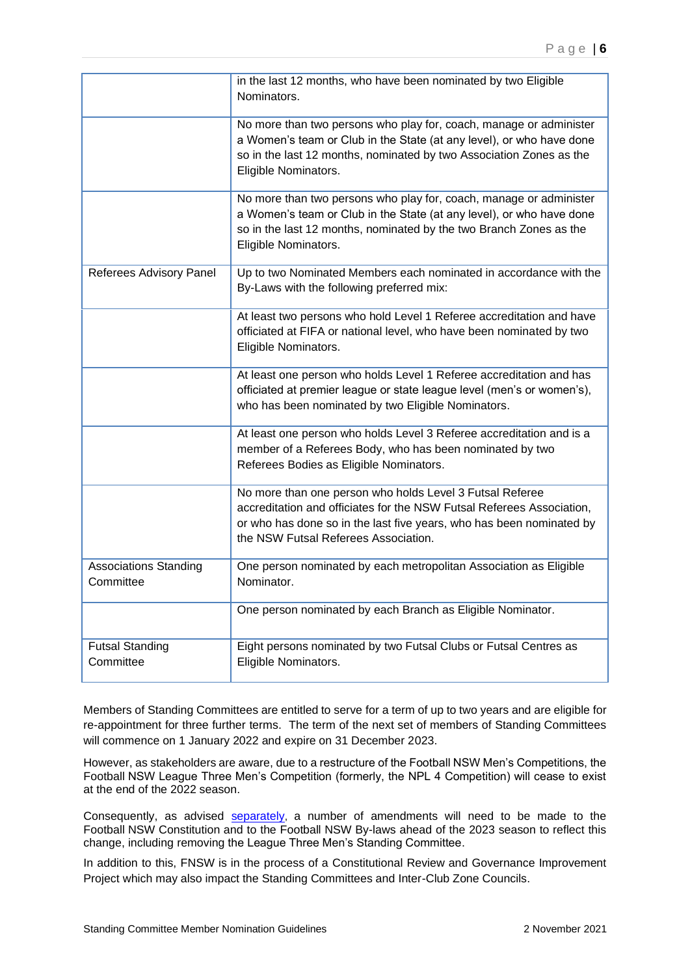|                                           | in the last 12 months, who have been nominated by two Eligible<br>Nominators.                                                                                                                                                                     |
|-------------------------------------------|---------------------------------------------------------------------------------------------------------------------------------------------------------------------------------------------------------------------------------------------------|
|                                           | No more than two persons who play for, coach, manage or administer<br>a Women's team or Club in the State (at any level), or who have done<br>so in the last 12 months, nominated by two Association Zones as the<br>Eligible Nominators.         |
|                                           | No more than two persons who play for, coach, manage or administer<br>a Women's team or Club in the State (at any level), or who have done<br>so in the last 12 months, nominated by the two Branch Zones as the<br>Eligible Nominators.          |
| Referees Advisory Panel                   | Up to two Nominated Members each nominated in accordance with the<br>By-Laws with the following preferred mix:                                                                                                                                    |
|                                           | At least two persons who hold Level 1 Referee accreditation and have<br>officiated at FIFA or national level, who have been nominated by two<br>Eligible Nominators.                                                                              |
|                                           | At least one person who holds Level 1 Referee accreditation and has<br>officiated at premier league or state league level (men's or women's),<br>who has been nominated by two Eligible Nominators.                                               |
|                                           | At least one person who holds Level 3 Referee accreditation and is a<br>member of a Referees Body, who has been nominated by two<br>Referees Bodies as Eligible Nominators.                                                                       |
|                                           | No more than one person who holds Level 3 Futsal Referee<br>accreditation and officiates for the NSW Futsal Referees Association,<br>or who has done so in the last five years, who has been nominated by<br>the NSW Futsal Referees Association. |
| <b>Associations Standing</b><br>Committee | One person nominated by each metropolitan Association as Eligible<br>Nominator.                                                                                                                                                                   |
|                                           | One person nominated by each Branch as Eligible Nominator.                                                                                                                                                                                        |
| <b>Futsal Standing</b><br>Committee       | Eight persons nominated by two Futsal Clubs or Futsal Centres as<br>Eligible Nominators.                                                                                                                                                          |

Members of Standing Committees are entitled to serve for a term of up to two years and are eligible for re-appointment for three further terms. The term of the next set of members of Standing Committees will commence on 1 January 2022 and expire on 31 December 2023.

However, as stakeholders are aware, due to a restructure of the Football NSW Men's Competitions, the Football NSW League Three Men's Competition (formerly, the NPL 4 Competition) will cease to exist at the end of the 2022 season.

Consequently, as advised [separately](https://footballnsw.com.au/wp-content/uploads/2021/11/Letter-to-Members-02.11.2021.pdf), a number of amendments will need to be made to the Football NSW Constitution and to the Football NSW By-laws ahead of the 2023 season to reflect this change, including removing the League Three Men's Standing Committee.

In addition to this, FNSW is in the process of a Constitutional Review and Governance Improvement Project which may also impact the Standing Committees and Inter-Club Zone Councils.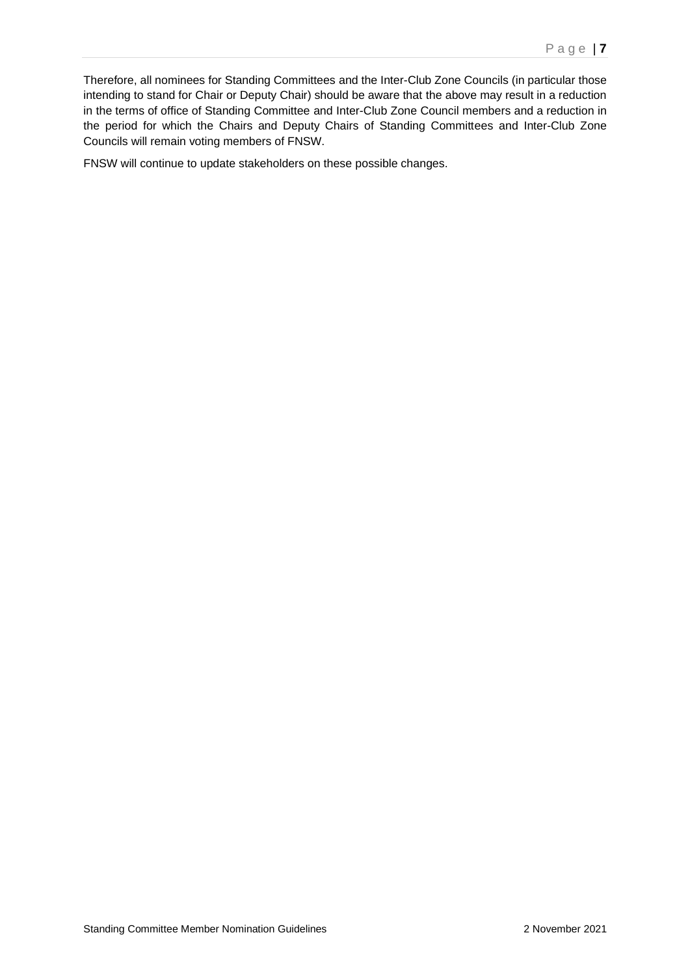Therefore, all nominees for Standing Committees and the Inter-Club Zone Councils (in particular those intending to stand for Chair or Deputy Chair) should be aware that the above may result in a reduction in the terms of office of Standing Committee and Inter-Club Zone Council members and a reduction in the period for which the Chairs and Deputy Chairs of Standing Committees and Inter-Club Zone Councils will remain voting members of FNSW.

FNSW will continue to update stakeholders on these possible changes.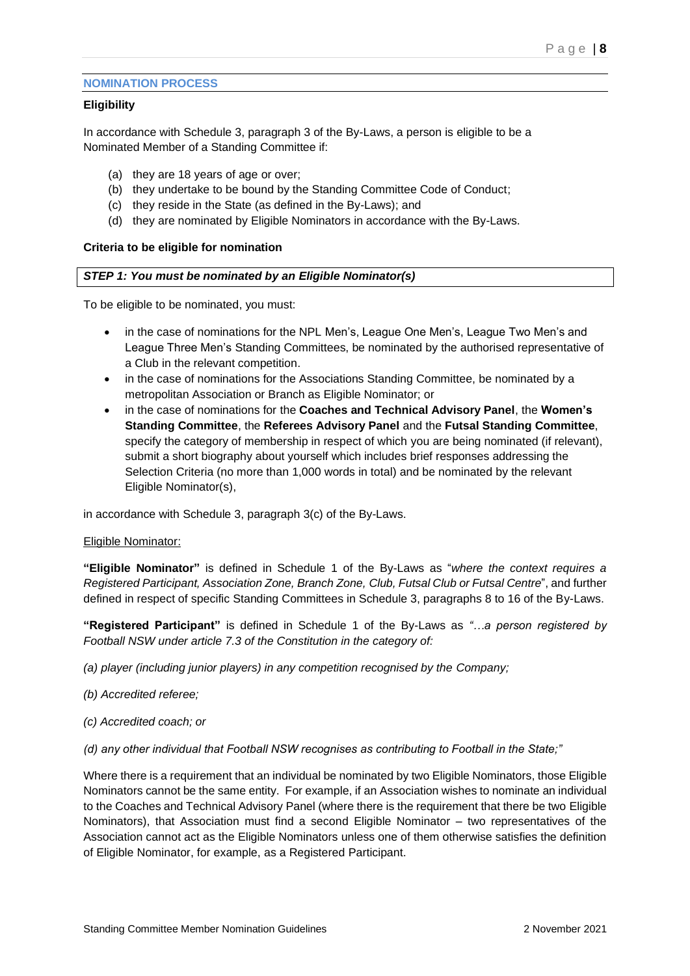#### **NOMINATION PROCESS**

## **Eligibility**

In accordance with Schedule 3, paragraph 3 of the By-Laws, a person is eligible to be a Nominated Member of a Standing Committee if:

- (a) they are 18 years of age or over;
- (b) they undertake to be bound by the Standing Committee Code of Conduct;
- (c) they reside in the State (as defined in the By-Laws); and
- (d) they are nominated by Eligible Nominators in accordance with the By-Laws.

## **Criteria to be eligible for nomination**

## *STEP 1: You must be nominated by an Eligible Nominator(s)*

To be eligible to be nominated, you must:

- in the case of nominations for the NPL Men's, League One Men's, League Two Men's and League Three Men's Standing Committees, be nominated by the authorised representative of a Club in the relevant competition.
- in the case of nominations for the Associations Standing Committee, be nominated by a metropolitan Association or Branch as Eligible Nominator; or
- in the case of nominations for the **Coaches and Technical Advisory Panel**, the **Women's Standing Committee**, the **Referees Advisory Panel** and the **Futsal Standing Committee**, specify the category of membership in respect of which you are being nominated (if relevant), submit a short biography about yourself which includes brief responses addressing the Selection Criteria (no more than 1,000 words in total) and be nominated by the relevant Eligible Nominator(s),

in accordance with Schedule 3, paragraph 3(c) of the By-Laws.

#### Eligible Nominator:

**"Eligible Nominator"** is defined in Schedule 1 of the By-Laws as "*where the context requires a Registered Participant, Association Zone, Branch Zone, Club, Futsal Club or Futsal Centre*", and further defined in respect of specific Standing Committees in Schedule 3, paragraphs 8 to 16 of the By-Laws.

**"Registered Participant"** is defined in Schedule 1 of the By-Laws as *"…a person registered by Football NSW under article 7.3 of the Constitution in the category of:*

- *(a) player (including junior players) in any competition recognised by the Company;*
- *(b) Accredited referee;*
- *(c) Accredited coach; or*
- *(d) any other individual that Football NSW recognises as contributing to Football in the State;"*

Where there is a requirement that an individual be nominated by two Eligible Nominators, those Eligible Nominators cannot be the same entity. For example, if an Association wishes to nominate an individual to the Coaches and Technical Advisory Panel (where there is the requirement that there be two Eligible Nominators), that Association must find a second Eligible Nominator – two representatives of the Association cannot act as the Eligible Nominators unless one of them otherwise satisfies the definition of Eligible Nominator, for example, as a Registered Participant.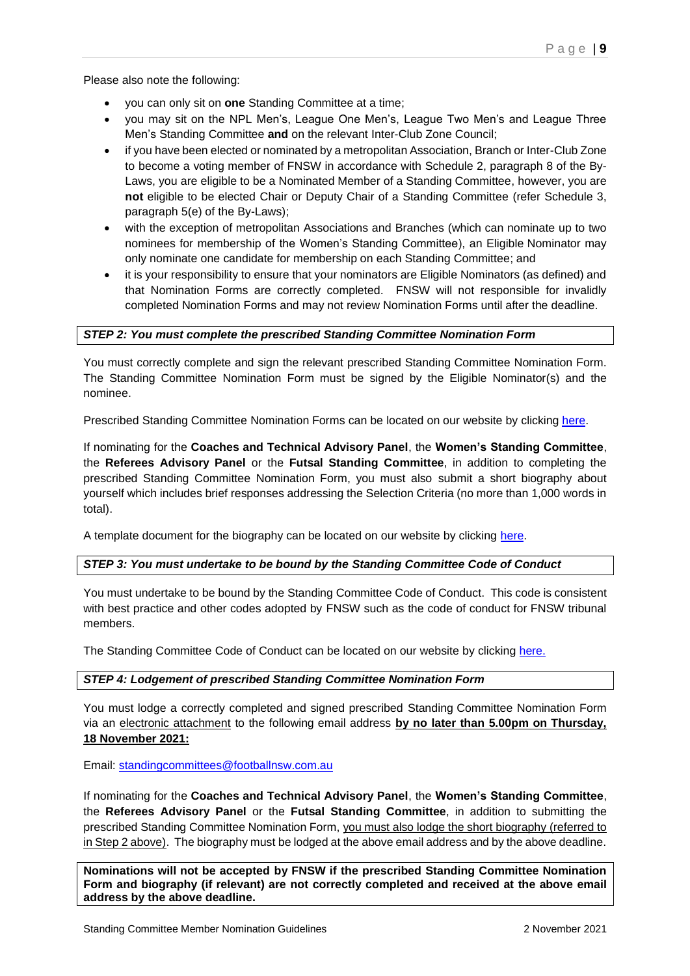Please also note the following:

- you can only sit on **one** Standing Committee at a time;
- you may sit on the NPL Men's, League One Men's, League Two Men's and League Three Men's Standing Committee **and** on the relevant Inter-Club Zone Council;
- if you have been elected or nominated by a metropolitan Association, Branch or Inter-Club Zone to become a voting member of FNSW in accordance with Schedule 2, paragraph 8 of the By-Laws, you are eligible to be a Nominated Member of a Standing Committee, however, you are **not** eligible to be elected Chair or Deputy Chair of a Standing Committee (refer Schedule 3, paragraph 5(e) of the By-Laws);
- with the exception of metropolitan Associations and Branches (which can nominate up to two nominees for membership of the Women's Standing Committee), an Eligible Nominator may only nominate one candidate for membership on each Standing Committee; and
- it is your responsibility to ensure that your nominators are Eligible Nominators (as defined) and that Nomination Forms are correctly completed. FNSW will not responsible for invalidly completed Nomination Forms and may not review Nomination Forms until after the deadline.

# *STEP 2: You must complete the prescribed Standing Committee Nomination Form*

You must correctly complete and sign the relevant prescribed Standing Committee Nomination Form. The Standing Committee Nomination Form must be signed by the Eligible Nominator(s) and the nominee.

Prescribed Standing Committee Nomination Forms can be located on our website by clicking [here.](https://footballnsw.com.au/about/standing-committees/)

If nominating for the **Coaches and Technical Advisory Panel**, the **Women's Standing Committee**, the **Referees Advisory Panel** or the **Futsal Standing Committee**, in addition to completing the prescribed Standing Committee Nomination Form, you must also submit a short biography about yourself which includes brief responses addressing the Selection Criteria (no more than 1,000 words in total).

A template document for the biography can be located on our website by clicking [here.](https://footballnsw.com.au/about/standing-committees/)

# *STEP 3: You must undertake to be bound by the Standing Committee Code of Conduct*

You must undertake to be bound by the Standing Committee Code of Conduct. This code is consistent with best practice and other codes adopted by FNSW such as the code of conduct for FNSW tribunal members.

The Standing Committee Code of Conduct can be located on our website by clicking [here.](https://footballnsw.com.au/about/standing-committees/)

# *STEP 4: Lodgement of prescribed Standing Committee Nomination Form*

You must lodge a correctly completed and signed prescribed Standing Committee Nomination Form via an electronic attachment to the following email address **by no later than 5.00pm on Thursday, 18 November 2021:**

Email: [standingcommittees@footballnsw.com.au](mailto:standingcommittees@footballnsw.com.au)

If nominating for the **Coaches and Technical Advisory Panel**, the **Women's Standing Committee**, the **Referees Advisory Panel** or the **Futsal Standing Committee**, in addition to submitting the prescribed Standing Committee Nomination Form, you must also lodge the short biography (referred to in Step 2 above). The biography must be lodged at the above email address and by the above deadline.

**Nominations will not be accepted by FNSW if the prescribed Standing Committee Nomination Form and biography (if relevant) are not correctly completed and received at the above email address by the above deadline.**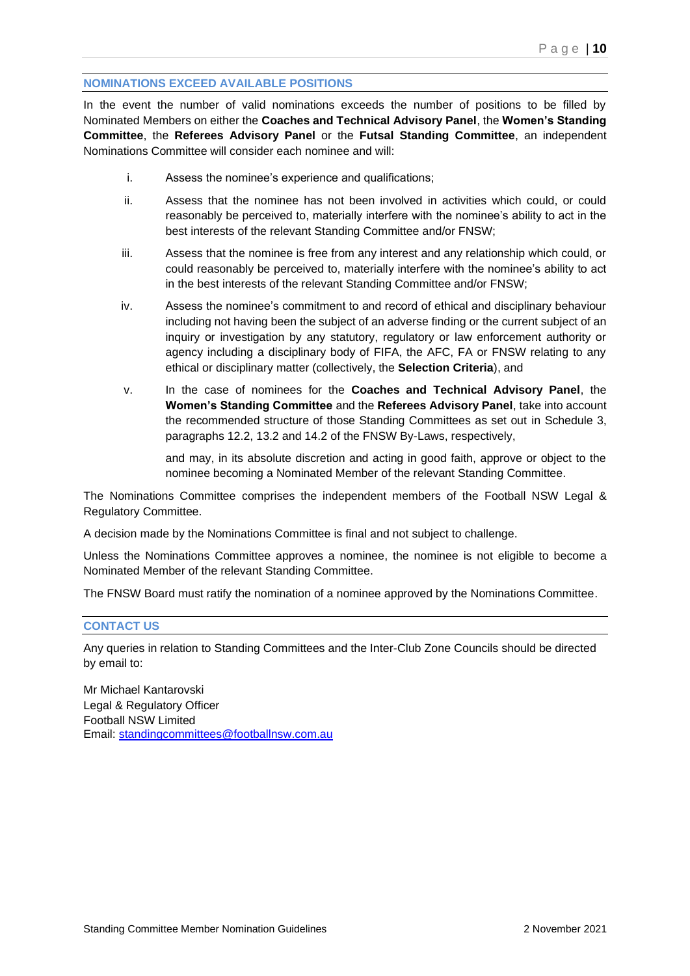# **NOMINATIONS EXCEED AVAILABLE POSITIONS**

In the event the number of valid nominations exceeds the number of positions to be filled by Nominated Members on either the **Coaches and Technical Advisory Panel**, the **Women's Standing Committee**, the **Referees Advisory Panel** or the **Futsal Standing Committee**, an independent Nominations Committee will consider each nominee and will:

- i. Assess the nominee's experience and qualifications;
- ii. Assess that the nominee has not been involved in activities which could, or could reasonably be perceived to, materially interfere with the nominee's ability to act in the best interests of the relevant Standing Committee and/or FNSW;
- iii. Assess that the nominee is free from any interest and any relationship which could, or could reasonably be perceived to, materially interfere with the nominee's ability to act in the best interests of the relevant Standing Committee and/or FNSW;
- iv. Assess the nominee's commitment to and record of ethical and disciplinary behaviour including not having been the subject of an adverse finding or the current subject of an inquiry or investigation by any statutory, regulatory or law enforcement authority or agency including a disciplinary body of FIFA, the AFC, FA or FNSW relating to any ethical or disciplinary matter (collectively, the **Selection Criteria**), and
- v. In the case of nominees for the **Coaches and Technical Advisory Panel**, the **Women's Standing Committee** and the **Referees Advisory Panel**, take into account the recommended structure of those Standing Committees as set out in Schedule 3, paragraphs 12.2, 13.2 and 14.2 of the FNSW By-Laws, respectively,

and may, in its absolute discretion and acting in good faith, approve or object to the nominee becoming a Nominated Member of the relevant Standing Committee.

The Nominations Committee comprises the independent members of the Football NSW Legal & Regulatory Committee.

A decision made by the Nominations Committee is final and not subject to challenge.

Unless the Nominations Committee approves a nominee, the nominee is not eligible to become a Nominated Member of the relevant Standing Committee.

The FNSW Board must ratify the nomination of a nominee approved by the Nominations Committee.

## **CONTACT US**

Any queries in relation to Standing Committees and the Inter-Club Zone Councils should be directed by email to:

Mr Michael Kantarovski Legal & Regulatory Officer Football NSW Limited Email: [standingcommittees@footballnsw.com.au](mailto:standingcommittees@footballnsw.com.au)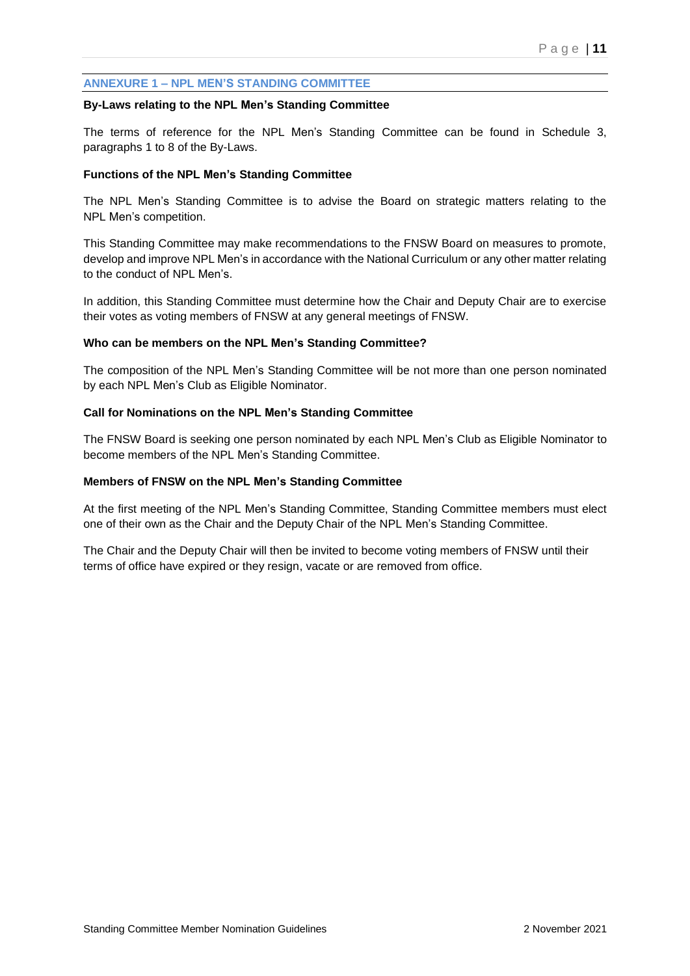# **ANNEXURE 1 – NPL MEN'S STANDING COMMITTEE**

#### **By-Laws relating to the NPL Men's Standing Committee**

The terms of reference for the NPL Men's Standing Committee can be found in Schedule 3, paragraphs 1 to 8 of the By-Laws.

#### **Functions of the NPL Men's Standing Committee**

The NPL Men's Standing Committee is to advise the Board on strategic matters relating to the NPL Men's competition.

This Standing Committee may make recommendations to the FNSW Board on measures to promote, develop and improve NPL Men's in accordance with the National Curriculum or any other matter relating to the conduct of NPL Men's.

In addition, this Standing Committee must determine how the Chair and Deputy Chair are to exercise their votes as voting members of FNSW at any general meetings of FNSW.

#### **Who can be members on the NPL Men's Standing Committee?**

The composition of the NPL Men's Standing Committee will be not more than one person nominated by each NPL Men's Club as Eligible Nominator.

#### **Call for Nominations on the NPL Men's Standing Committee**

The FNSW Board is seeking one person nominated by each NPL Men's Club as Eligible Nominator to become members of the NPL Men's Standing Committee.

#### **Members of FNSW on the NPL Men's Standing Committee**

At the first meeting of the NPL Men's Standing Committee, Standing Committee members must elect one of their own as the Chair and the Deputy Chair of the NPL Men's Standing Committee.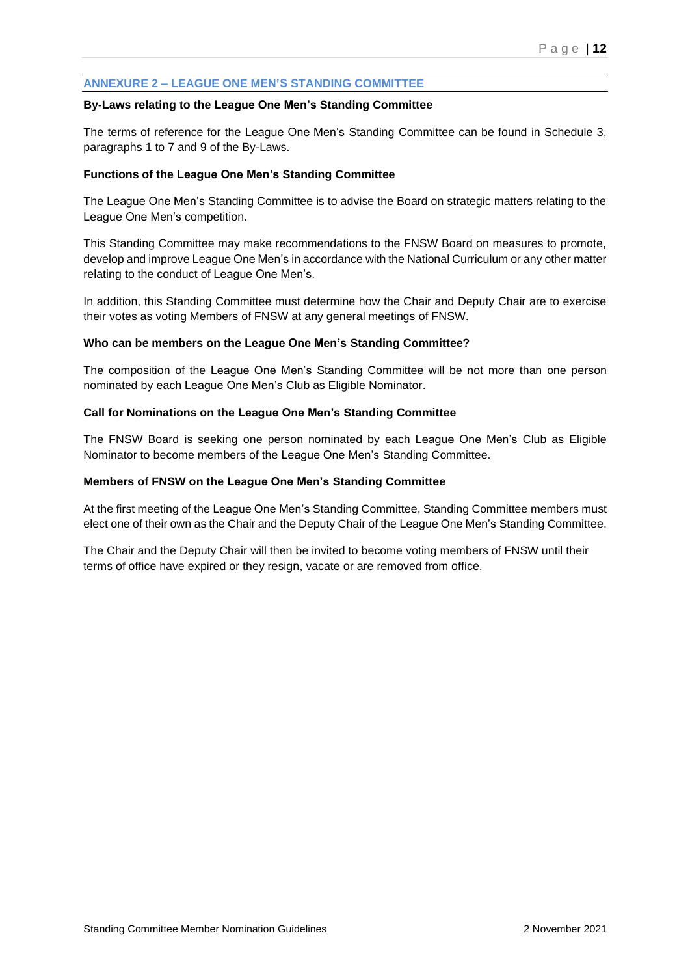# **ANNEXURE 2 – LEAGUE ONE MEN'S STANDING COMMITTEE**

#### **By-Laws relating to the League One Men's Standing Committee**

The terms of reference for the League One Men's Standing Committee can be found in Schedule 3, paragraphs 1 to 7 and 9 of the By-Laws.

## **Functions of the League One Men's Standing Committee**

The League One Men's Standing Committee is to advise the Board on strategic matters relating to the League One Men's competition.

This Standing Committee may make recommendations to the FNSW Board on measures to promote, develop and improve League One Men's in accordance with the National Curriculum or any other matter relating to the conduct of League One Men's.

In addition, this Standing Committee must determine how the Chair and Deputy Chair are to exercise their votes as voting Members of FNSW at any general meetings of FNSW.

## **Who can be members on the League One Men's Standing Committee?**

The composition of the League One Men's Standing Committee will be not more than one person nominated by each League One Men's Club as Eligible Nominator.

## **Call for Nominations on the League One Men's Standing Committee**

The FNSW Board is seeking one person nominated by each League One Men's Club as Eligible Nominator to become members of the League One Men's Standing Committee.

#### **Members of FNSW on the League One Men's Standing Committee**

At the first meeting of the League One Men's Standing Committee, Standing Committee members must elect one of their own as the Chair and the Deputy Chair of the League One Men's Standing Committee.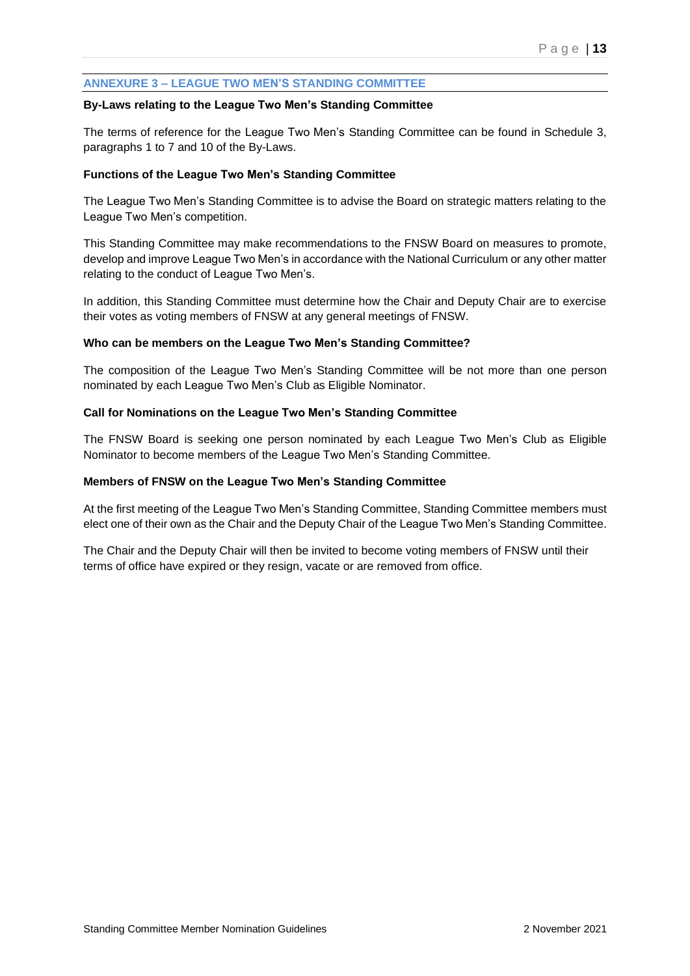# **ANNEXURE 3 – LEAGUE TWO MEN'S STANDING COMMITTEE**

#### **By-Laws relating to the League Two Men's Standing Committee**

The terms of reference for the League Two Men's Standing Committee can be found in Schedule 3, paragraphs 1 to 7 and 10 of the By-Laws.

## **Functions of the League Two Men's Standing Committee**

The League Two Men's Standing Committee is to advise the Board on strategic matters relating to the League Two Men's competition.

This Standing Committee may make recommendations to the FNSW Board on measures to promote, develop and improve League Two Men's in accordance with the National Curriculum or any other matter relating to the conduct of League Two Men's.

In addition, this Standing Committee must determine how the Chair and Deputy Chair are to exercise their votes as voting members of FNSW at any general meetings of FNSW.

#### **Who can be members on the League Two Men's Standing Committee?**

The composition of the League Two Men's Standing Committee will be not more than one person nominated by each League Two Men's Club as Eligible Nominator.

## **Call for Nominations on the League Two Men's Standing Committee**

The FNSW Board is seeking one person nominated by each League Two Men's Club as Eligible Nominator to become members of the League Two Men's Standing Committee.

#### **Members of FNSW on the League Two Men's Standing Committee**

At the first meeting of the League Two Men's Standing Committee, Standing Committee members must elect one of their own as the Chair and the Deputy Chair of the League Two Men's Standing Committee.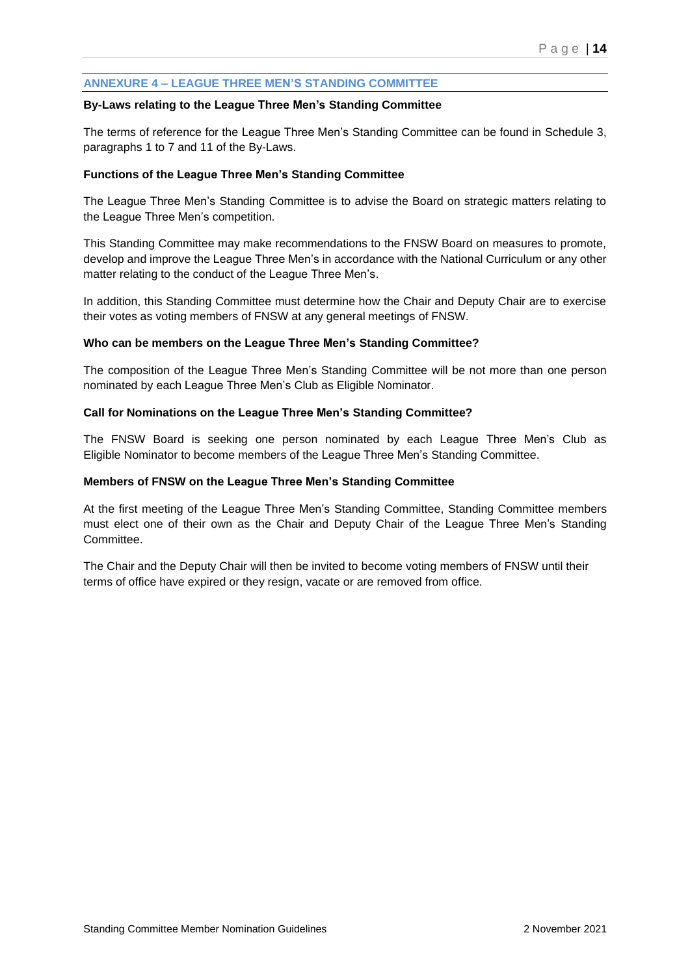# **ANNEXURE 4 – LEAGUE THREE MEN'S STANDING COMMITTEE**

#### **By-Laws relating to the League Three Men's Standing Committee**

The terms of reference for the League Three Men's Standing Committee can be found in Schedule 3, paragraphs 1 to 7 and 11 of the By-Laws.

#### **Functions of the League Three Men's Standing Committee**

The League Three Men's Standing Committee is to advise the Board on strategic matters relating to the League Three Men's competition.

This Standing Committee may make recommendations to the FNSW Board on measures to promote, develop and improve the League Three Men's in accordance with the National Curriculum or any other matter relating to the conduct of the League Three Men's.

In addition, this Standing Committee must determine how the Chair and Deputy Chair are to exercise their votes as voting members of FNSW at any general meetings of FNSW.

## **Who can be members on the League Three Men's Standing Committee?**

The composition of the League Three Men's Standing Committee will be not more than one person nominated by each League Three Men's Club as Eligible Nominator.

## **Call for Nominations on the League Three Men's Standing Committee?**

The FNSW Board is seeking one person nominated by each League Three Men's Club as Eligible Nominator to become members of the League Three Men's Standing Committee.

#### **Members of FNSW on the League Three Men's Standing Committee**

At the first meeting of the League Three Men's Standing Committee, Standing Committee members must elect one of their own as the Chair and Deputy Chair of the League Three Men's Standing Committee.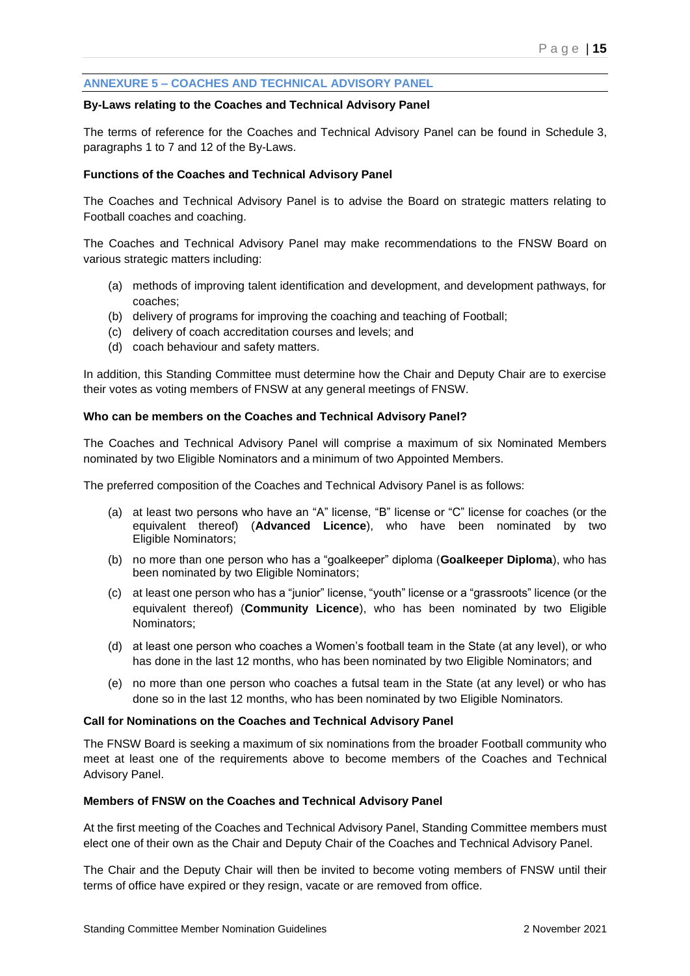# **ANNEXURE 5 – COACHES AND TECHNICAL ADVISORY PANEL**

#### **By-Laws relating to the Coaches and Technical Advisory Panel**

The terms of reference for the Coaches and Technical Advisory Panel can be found in Schedule 3, paragraphs 1 to 7 and 12 of the By-Laws.

#### **Functions of the Coaches and Technical Advisory Panel**

The Coaches and Technical Advisory Panel is to advise the Board on strategic matters relating to Football coaches and coaching.

The Coaches and Technical Advisory Panel may make recommendations to the FNSW Board on various strategic matters including:

- (a) methods of improving talent identification and development, and development pathways, for coaches;
- (b) delivery of programs for improving the coaching and teaching of Football;
- (c) delivery of coach accreditation courses and levels; and
- (d) coach behaviour and safety matters.

In addition, this Standing Committee must determine how the Chair and Deputy Chair are to exercise their votes as voting members of FNSW at any general meetings of FNSW.

#### **Who can be members on the Coaches and Technical Advisory Panel?**

The Coaches and Technical Advisory Panel will comprise a maximum of six Nominated Members nominated by two Eligible Nominators and a minimum of two Appointed Members.

The preferred composition of the Coaches and Technical Advisory Panel is as follows:

- (a) at least two persons who have an "A" license, "B" license or "C" license for coaches (or the equivalent thereof) (**Advanced Licence**), who have been nominated by two Eligible Nominators;
- (b) no more than one person who has a "goalkeeper" diploma (**Goalkeeper Diploma**), who has been nominated by two Eligible Nominators;
- (c) at least one person who has a "junior" license, "youth" license or a "grassroots" licence (or the equivalent thereof) (**Community Licence**), who has been nominated by two Eligible Nominators;
- (d) at least one person who coaches a Women's football team in the State (at any level), or who has done in the last 12 months, who has been nominated by two Eligible Nominators; and
- (e) no more than one person who coaches a futsal team in the State (at any level) or who has done so in the last 12 months, who has been nominated by two Eligible Nominators.

#### **Call for Nominations on the Coaches and Technical Advisory Panel**

The FNSW Board is seeking a maximum of six nominations from the broader Football community who meet at least one of the requirements above to become members of the Coaches and Technical Advisory Panel.

#### **Members of FNSW on the Coaches and Technical Advisory Panel**

At the first meeting of the Coaches and Technical Advisory Panel, Standing Committee members must elect one of their own as the Chair and Deputy Chair of the Coaches and Technical Advisory Panel.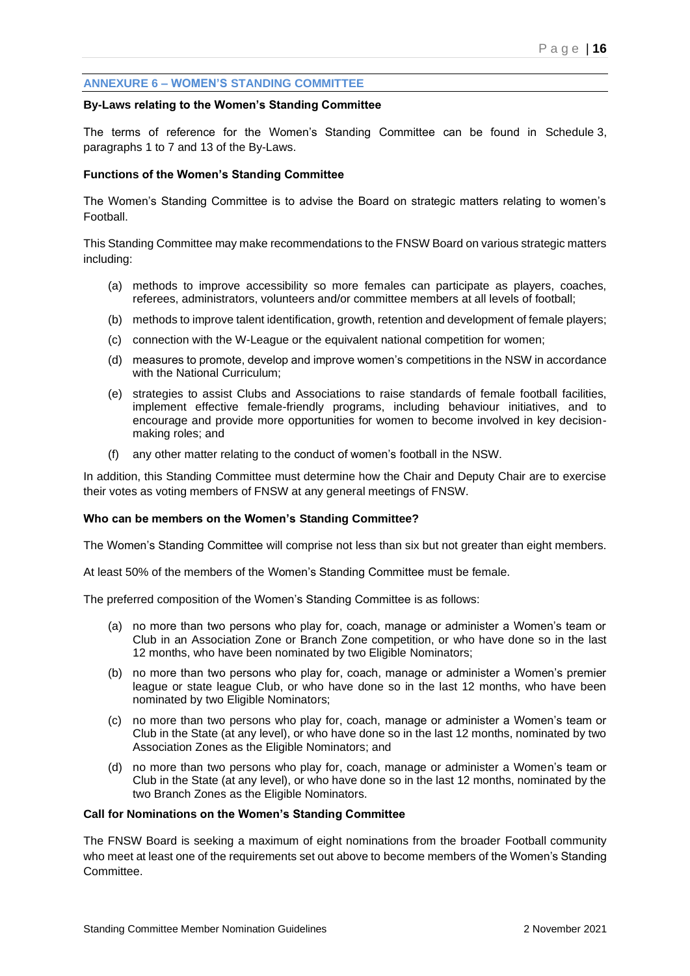## **ANNEXURE 6 – WOMEN'S STANDING COMMITTEE**

#### **By-Laws relating to the Women's Standing Committee**

The terms of reference for the Women's Standing Committee can be found in Schedule 3, paragraphs 1 to 7 and 13 of the By-Laws.

#### **Functions of the Women's Standing Committee**

The Women's Standing Committee is to advise the Board on strategic matters relating to women's Football.

This Standing Committee may make recommendations to the FNSW Board on various strategic matters including:

- (a) methods to improve accessibility so more females can participate as players, coaches, referees, administrators, volunteers and/or committee members at all levels of football;
- (b) methods to improve talent identification, growth, retention and development of female players;
- (c) connection with the W-League or the equivalent national competition for women;
- (d) measures to promote, develop and improve women's competitions in the NSW in accordance with the National Curriculum;
- (e) strategies to assist Clubs and Associations to raise standards of female football facilities, implement effective female-friendly programs, including behaviour initiatives, and to encourage and provide more opportunities for women to become involved in key decisionmaking roles; and
- (f) any other matter relating to the conduct of women's football in the NSW.

In addition, this Standing Committee must determine how the Chair and Deputy Chair are to exercise their votes as voting members of FNSW at any general meetings of FNSW.

#### **Who can be members on the Women's Standing Committee?**

The Women's Standing Committee will comprise not less than six but not greater than eight members.

At least 50% of the members of the Women's Standing Committee must be female.

The preferred composition of the Women's Standing Committee is as follows:

- (a) no more than two persons who play for, coach, manage or administer a Women's team or Club in an Association Zone or Branch Zone competition, or who have done so in the last 12 months, who have been nominated by two Eligible Nominators;
- (b) no more than two persons who play for, coach, manage or administer a Women's premier league or state league Club, or who have done so in the last 12 months, who have been nominated by two Eligible Nominators;
- (c) no more than two persons who play for, coach, manage or administer a Women's team or Club in the State (at any level), or who have done so in the last 12 months, nominated by two Association Zones as the Eligible Nominators; and
- (d) no more than two persons who play for, coach, manage or administer a Women's team or Club in the State (at any level), or who have done so in the last 12 months, nominated by the two Branch Zones as the Eligible Nominators.

## **Call for Nominations on the Women's Standing Committee**

The FNSW Board is seeking a maximum of eight nominations from the broader Football community who meet at least one of the requirements set out above to become members of the Women's Standing Committee.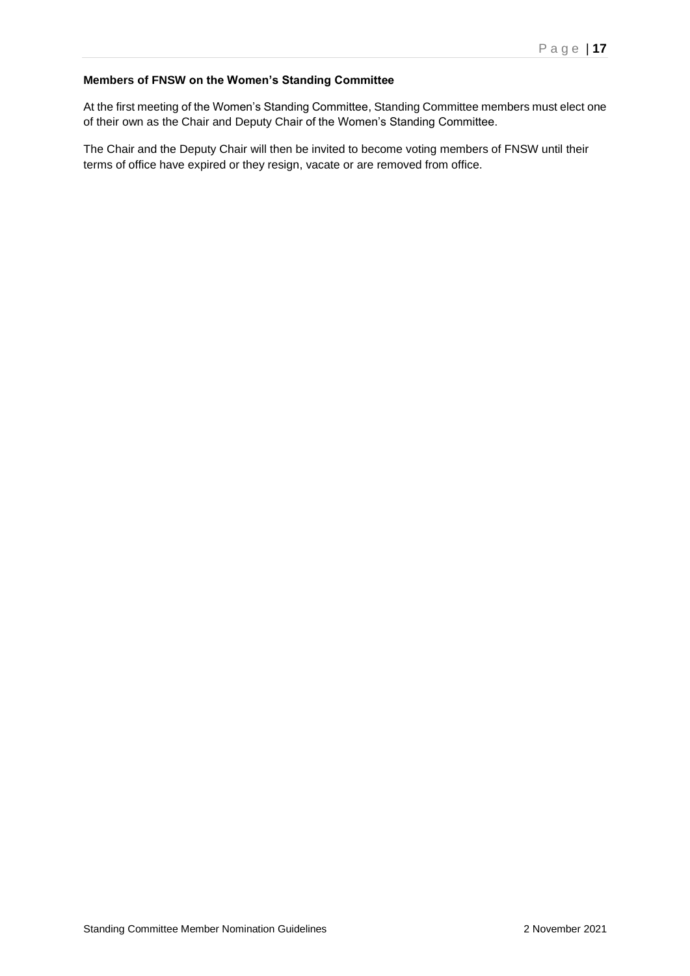# **Members of FNSW on the Women's Standing Committee**

At the first meeting of the Women's Standing Committee, Standing Committee members must elect one of their own as the Chair and Deputy Chair of the Women's Standing Committee.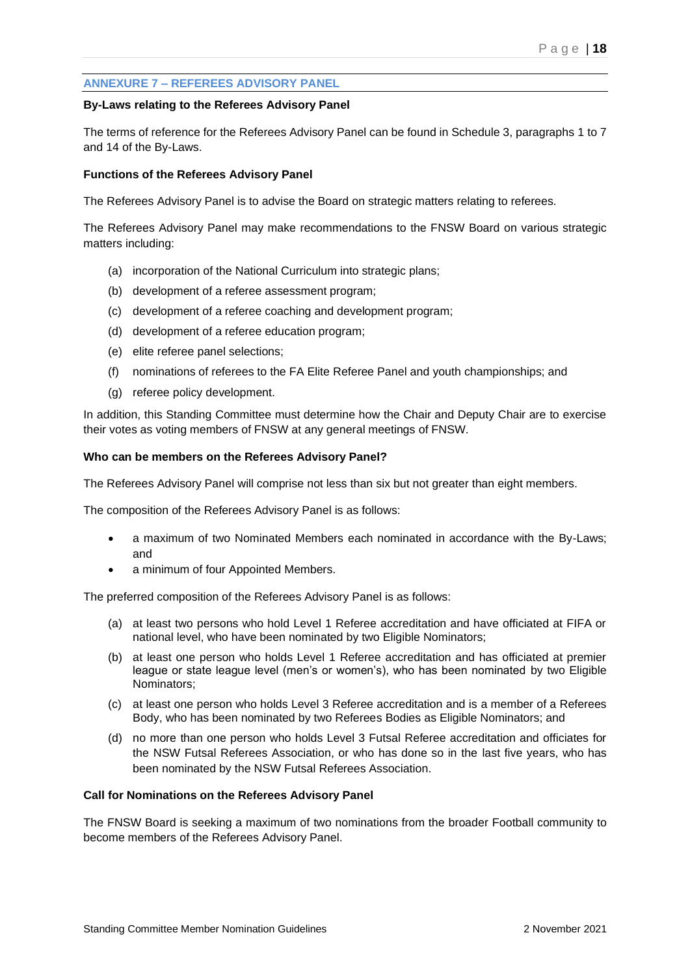# **ANNEXURE 7 – REFEREES ADVISORY PANEL**

#### **By-Laws relating to the Referees Advisory Panel**

The terms of reference for the Referees Advisory Panel can be found in Schedule 3, paragraphs 1 to 7 and 14 of the By-Laws.

#### **Functions of the Referees Advisory Panel**

The Referees Advisory Panel is to advise the Board on strategic matters relating to referees.

The Referees Advisory Panel may make recommendations to the FNSW Board on various strategic matters including:

- (a) incorporation of the National Curriculum into strategic plans;
- (b) development of a referee assessment program;
- (c) development of a referee coaching and development program;
- (d) development of a referee education program;
- (e) elite referee panel selections;
- (f) nominations of referees to the FA Elite Referee Panel and youth championships; and
- (g) referee policy development.

In addition, this Standing Committee must determine how the Chair and Deputy Chair are to exercise their votes as voting members of FNSW at any general meetings of FNSW.

#### **Who can be members on the Referees Advisory Panel?**

The Referees Advisory Panel will comprise not less than six but not greater than eight members.

The composition of the Referees Advisory Panel is as follows:

- a maximum of two Nominated Members each nominated in accordance with the By-Laws; and
- a minimum of four Appointed Members.

The preferred composition of the Referees Advisory Panel is as follows:

- (a) at least two persons who hold Level 1 Referee accreditation and have officiated at FIFA or national level, who have been nominated by two Eligible Nominators;
- (b) at least one person who holds Level 1 Referee accreditation and has officiated at premier league or state league level (men's or women's), who has been nominated by two Eligible Nominators;
- (c) at least one person who holds Level 3 Referee accreditation and is a member of a Referees Body, who has been nominated by two Referees Bodies as Eligible Nominators; and
- (d) no more than one person who holds Level 3 Futsal Referee accreditation and officiates for the NSW Futsal Referees Association, or who has done so in the last five years, who has been nominated by the NSW Futsal Referees Association.

#### **Call for Nominations on the Referees Advisory Panel**

The FNSW Board is seeking a maximum of two nominations from the broader Football community to become members of the Referees Advisory Panel.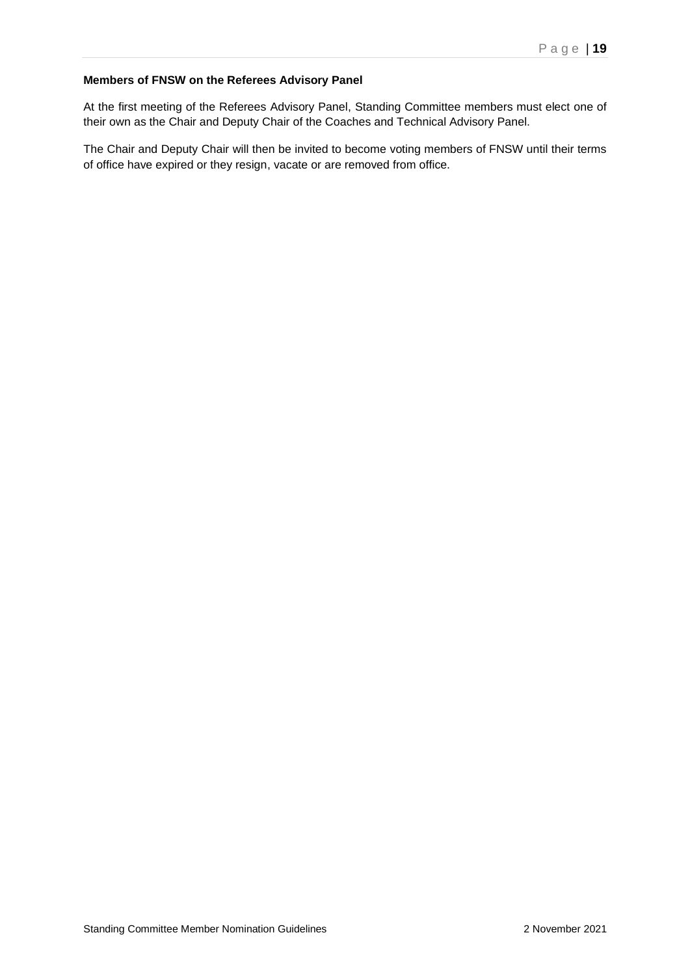# **Members of FNSW on the Referees Advisory Panel**

At the first meeting of the Referees Advisory Panel, Standing Committee members must elect one of their own as the Chair and Deputy Chair of the Coaches and Technical Advisory Panel.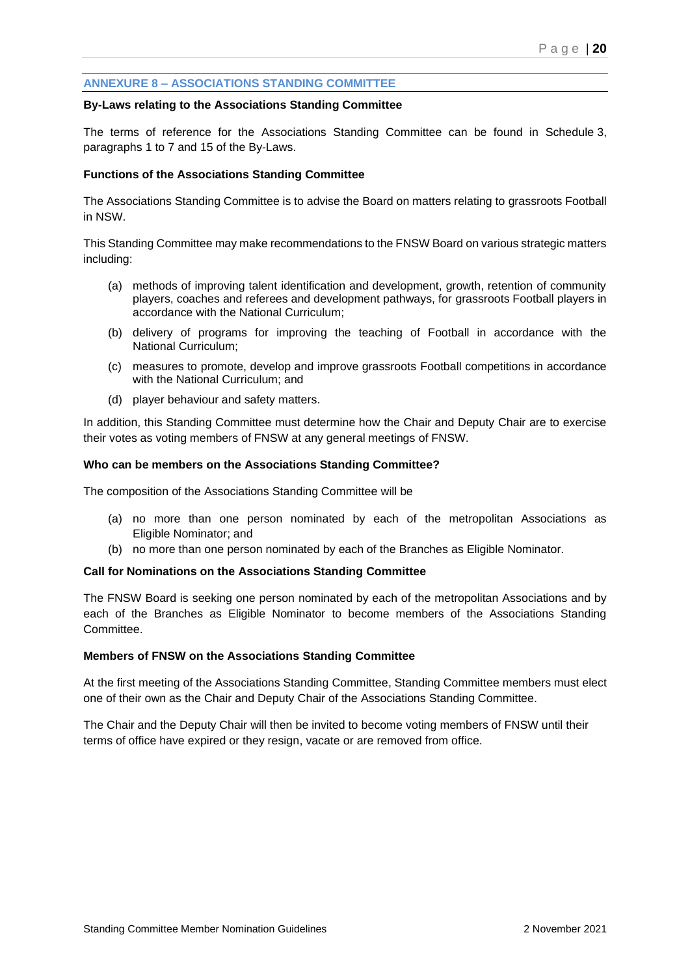## **ANNEXURE 8 – ASSOCIATIONS STANDING COMMITTEE**

#### **By-Laws relating to the Associations Standing Committee**

The terms of reference for the Associations Standing Committee can be found in Schedule 3, paragraphs 1 to 7 and 15 of the By-Laws.

#### **Functions of the Associations Standing Committee**

The Associations Standing Committee is to advise the Board on matters relating to grassroots Football in NSW.

This Standing Committee may make recommendations to the FNSW Board on various strategic matters including:

- (a) methods of improving talent identification and development, growth, retention of community players, coaches and referees and development pathways, for grassroots Football players in accordance with the National Curriculum;
- (b) delivery of programs for improving the teaching of Football in accordance with the National Curriculum;
- (c) measures to promote, develop and improve grassroots Football competitions in accordance with the National Curriculum; and
- (d) player behaviour and safety matters.

In addition, this Standing Committee must determine how the Chair and Deputy Chair are to exercise their votes as voting members of FNSW at any general meetings of FNSW.

#### **Who can be members on the Associations Standing Committee?**

The composition of the Associations Standing Committee will be

- (a) no more than one person nominated by each of the metropolitan Associations as Eligible Nominator; and
- (b) no more than one person nominated by each of the Branches as Eligible Nominator.

#### **Call for Nominations on the Associations Standing Committee**

The FNSW Board is seeking one person nominated by each of the metropolitan Associations and by each of the Branches as Eligible Nominator to become members of the Associations Standing Committee.

#### **Members of FNSW on the Associations Standing Committee**

At the first meeting of the Associations Standing Committee, Standing Committee members must elect one of their own as the Chair and Deputy Chair of the Associations Standing Committee.